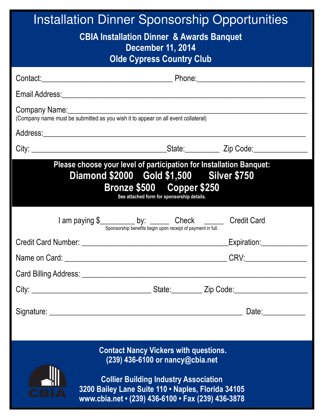| <b>Installation Dinner Sponsorship Opportunities</b>                                                                                                                                                                                                                                    |             |  |
|-----------------------------------------------------------------------------------------------------------------------------------------------------------------------------------------------------------------------------------------------------------------------------------------|-------------|--|
| <b>CBIA Installation Dinner &amp; Awards Banquet</b><br><b>December 11, 2014</b><br><b>Olde Cypress Country Club</b>                                                                                                                                                                    |             |  |
|                                                                                                                                                                                                                                                                                         |             |  |
|                                                                                                                                                                                                                                                                                         |             |  |
| (Company name must be submitted as you wish it to appear on all event collateral)                                                                                                                                                                                                       |             |  |
|                                                                                                                                                                                                                                                                                         |             |  |
|                                                                                                                                                                                                                                                                                         |             |  |
| Please choose your level of participation for Installation Banquet:<br>Diamond \$2000 Gold \$1,500 Silver \$750<br>Bronze \$500 Copper \$250<br>See attached form for sponsorship details.<br>I am paying \$<br>Sponsorship benefits begin upon receipt of payment in full. Credit Card |             |  |
| <b>Credit Card Number:</b>                                                                                                                                                                                                                                                              | Expiration: |  |
|                                                                                                                                                                                                                                                                                         |             |  |
|                                                                                                                                                                                                                                                                                         |             |  |
|                                                                                                                                                                                                                                                                                         |             |  |
|                                                                                                                                                                                                                                                                                         |             |  |
| <b>Contact Nancy Vickers with questions.</b><br>$(239)$ 436-6100 or nancy@cbia.net                                                                                                                                                                                                      |             |  |
| <b>Collier Building Industry Association</b><br>3200 Bailey Lane Suite 110 · Naples, Florida 34105<br>www.cbia.net • (239) 436-6100 • Fax (239) 436-3878                                                                                                                                |             |  |